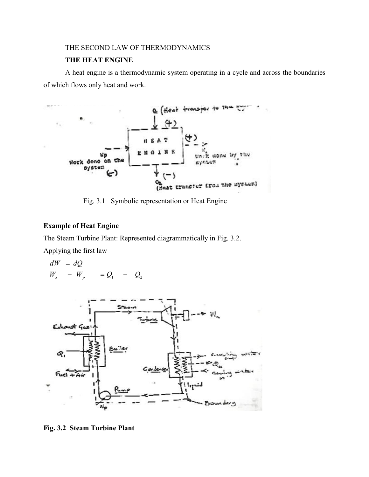# THE SECOND LAW OF THERMODYNAMICS

### **THE HEAT ENGINE**

A heat engine is a thermodynamic system operating in a cycle and across the boundaries of which flows only heat and work.



Fig. 3.1 Symbolic representation or Heat Engine

# **Example of Heat Engine**

The Steam Turbine Plant: Represented diagrammatically in Fig. 3.2.

Applying the first law

$$
dW = dQ
$$
  
 
$$
W_x - W_p = Q_1 - Q_2
$$



**Fig. 3.2 Steam Turbine Plant**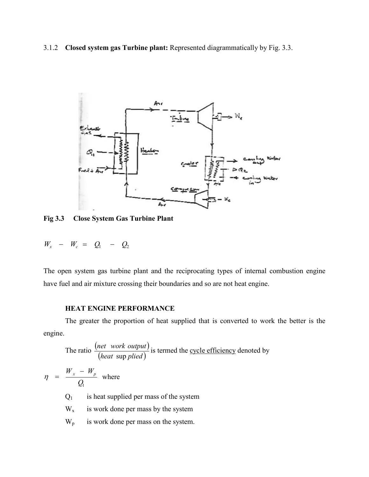3.1.2 **Closed system gas Turbine plant:** Represented diagrammatically by Fig. 3.3.



**Fig 3.3 Close System Gas Turbine Plant**

$$
W_x - W_c = Q_1 - Q_2
$$

The open system gas turbine plant and the reciprocating types of internal combustion engine have fuel and air mixture crossing their boundaries and so are not heat engine.

## **HEAT ENGINE PERFORMANCE**

The greater the proportion of heat supplied that is converted to work the better is the engine.

The ratio 
$$
\frac{(net \ work \ output)}{(heat \ sup \ pile d)}
$$
 is termed the cycle efficiency denoted by  $\eta = \frac{W_x - W_p}{Q_1}$  where  $Q_1$  is heat supplied per mass of the system is work done per mass by the system  $W_p$  is work done per mass on the system.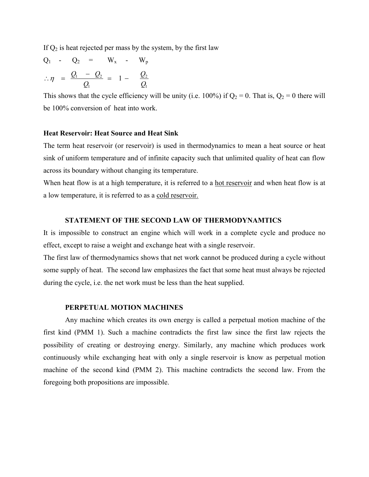If  $Q_2$  is heat rejected per mass by the system, by the first law

$$
Q_1 - Q_2 = W_x - W_p
$$
  

$$
\therefore \eta = \frac{Q_1 - Q_2}{Q_1} = 1 - \frac{Q_2}{Q_1}
$$

This shows that the cycle efficiency will be unity (i.e. 100%) if  $Q_2 = 0$ . That is,  $Q_2 = 0$  there will be 100% conversion of heat into work.

### **Heat Reservoir: Heat Source and Heat Sink**

The term heat reservoir (or reservoir) is used in thermodynamics to mean a heat source or heat sink of uniform temperature and of infinite capacity such that unlimited quality of heat can flow across its boundary without changing its temperature.

When heat flow is at a high temperature, it is referred to a hot reservoir and when heat flow is at a low temperature, it is referred to as a cold reservoir.

### **STATEMENT OF THE SECOND LAW OF THERMODYNAMTICS**

It is impossible to construct an engine which will work in a complete cycle and produce no effect, except to raise a weight and exchange heat with a single reservoir.

The first law of thermodynamics shows that net work cannot be produced during a cycle without some supply of heat. The second law emphasizes the fact that some heat must always be rejected during the cycle, i.e. the net work must be less than the heat supplied.

#### **PERPETUAL MOTION MACHINES**

Any machine which creates its own energy is called a perpetual motion machine of the first kind (PMM 1). Such a machine contradicts the first law since the first law rejects the possibility of creating or destroying energy. Similarly, any machine which produces work continuously while exchanging heat with only a single reservoir is know as perpetual motion machine of the second kind (PMM 2). This machine contradicts the second law. From the foregoing both propositions are impossible.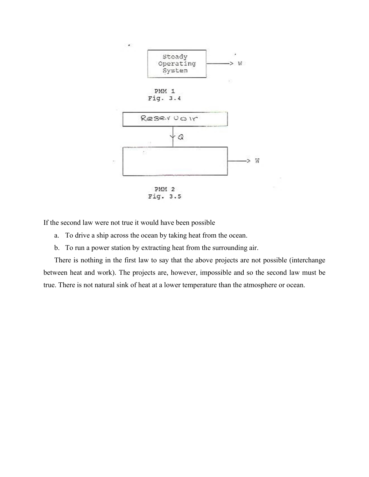

If the second law were not true it would have been possible

- a. To drive a ship across the ocean by taking heat from the ocean.
- b. To run a power station by extracting heat from the surrounding air.

There is nothing in the first law to say that the above projects are not possible (interchange between heat and work). The projects are, however, impossible and so the second law must be true. There is not natural sink of heat at a lower temperature than the atmosphere or ocean.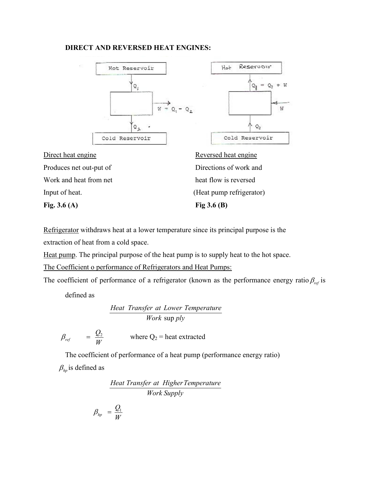### **DIRECT AND REVERSED HEAT ENGINES:**





Direct heat engine Reversed heat engine Produces net out-put of Directions of work and Work and heat from net heat flow is reversed

**Fig. 3.6 (A) Fig 3.6 (B)**

Input of heat. (Heat pump refrigerator)

Refrigerator withdraws heat at a lower temperature since its principal purpose is the extraction of heat from a cold space.

Heat pump. The principal purpose of the heat pump is to supply heat to the hot space.

The Coefficient o performance of Refrigerators and Heat Pumps:

The coefficient of performance of a refrigerator (known as the performance energy ratio  $\beta_{ref}$  is

defined as

*Work ply* sup *Heat Transfer at Lower Temperature*

$$
\beta_{ref} = \frac{Q_2}{W} \qquad \text{where Q}_2 = \text{heat extracted}
$$

The coefficient of performance of a heat pump (performance energy ratio)  $\beta_{\scriptscriptstyle{hn}}$  is defined as

*Work Supply Heat Transfer at HigherTemperature*

$$
\beta_{hp} \;\; = \frac{\mathcal{Q}_{\text{\tiny{l}}}}{W}
$$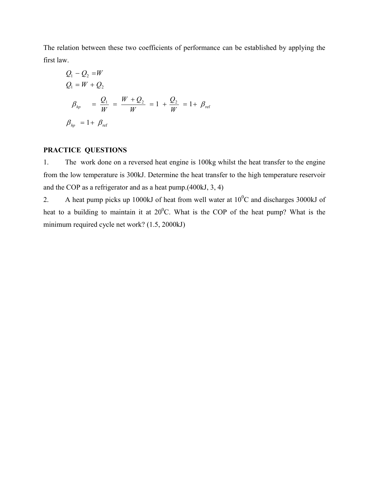The relation between these two coefficients of performance can be established by applying the first law.

$$
Q_1 - Q_2 = W
$$
  
\n
$$
Q_1 = W + Q_2
$$
  
\n
$$
\beta_{hp} = \frac{Q_1}{W} = \frac{W + Q_2}{W} = 1 + \frac{Q_2}{W} = 1 + \beta_{ref}
$$
  
\n
$$
\beta_{hp} = 1 + \beta_{ref}
$$

# **PRACTICE QUESTIONS**

1. The work done on a reversed heat engine is 100kg whilst the heat transfer to the engine from the low temperature is 300kJ. Determine the heat transfer to the high temperature reservoir and the COP as a refrigerator and as a heat pump.(400kJ, 3, 4)

2. A heat pump picks up 1000kJ of heat from well water at  $10^{0}$ C and discharges 3000kJ of heat to a building to maintain it at  $20^{\circ}$ C. What is the COP of the heat pump? What is the minimum required cycle net work? (1.5, 2000kJ)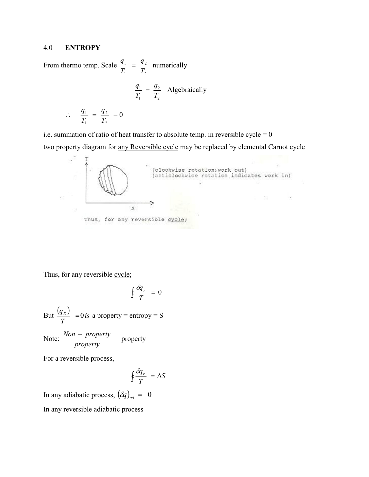## 4.0 **ENTROPY**

From thermo temp. Scale 2 2 1 1 *T q T*  $\frac{q_1}{q_2} = \frac{q_2}{q_1}$  numerically 2 2 1 1 *T q T*  $\frac{q_1}{q_2} = \frac{q_2}{q_1}$  Algebraically *q*

$$
\therefore \quad \frac{q_1}{T_1} = \frac{q_2}{T_2} = 0
$$

i.e. summation of ratio of heat transfer to absolute temp. in reversible  $cycle = 0$ two property diagram for any Reversible cycle may be replaced by elemental Carnot cycle



Thus, for any reversible cycle;

$$
\oint \frac{\delta q_r}{T} = 0
$$

But  $\frac{(q_R)}{T}$  = 0 is *T*  $\frac{q_R}{T}$  = 0 *is* a property = entropy = S

Note: 
$$
\frac{Non - property}{property} = property
$$

For a reversible process,

$$
\oint \frac{\delta q_r}{T} = \Delta S
$$

In any adiabatic process,  $(\delta q)_{ad} = 0$ 

In any reversible adiabatic process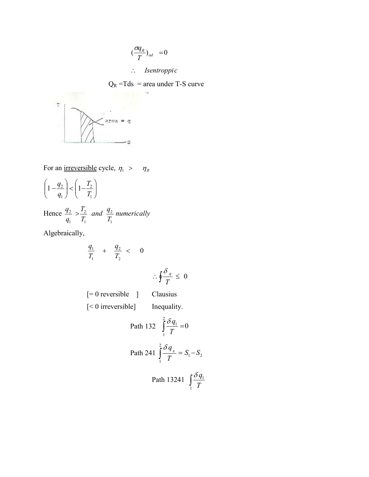$$
\left(\frac{\sigma q_{R}}{T}\right)_{ad} = 0
$$

*Isentroppic*

$$
Q_R = Tds =
$$
area under T-S curve



For an <u>irreversible</u> cycle,  $\eta_1 > \eta_R$ 

$$
\left(1-\frac{q_2}{q_1}\right) < \left(1-\frac{T_2}{T_1}\right)
$$

Hence  $\frac{q_2}{q_1} > \frac{T_2}{T_1}$  and  $\frac{q_2}{T_1}$  numerically *T T q q* 1 2 1 2 1  $\frac{2}{ }$  >

Algebraically,

$$
\frac{q_1}{T_1} + \frac{q_2}{T_2} < 0
$$

$$
\therefore \oint \frac{\delta_q}{T} \leq 0
$$

[= 0 reversible ] Clausius [<0 irreversible] Inequality.

Path 132 
$$
\int_{1}^{2} \frac{\delta q_1}{T} = 0
$$
  
\nPath 241 
$$
\int_{1}^{2} \frac{\delta q_x}{T} = S_1 - S_2
$$
  
\nPath 13241 
$$
\int_{1}^{2} \frac{\delta q_1}{T}
$$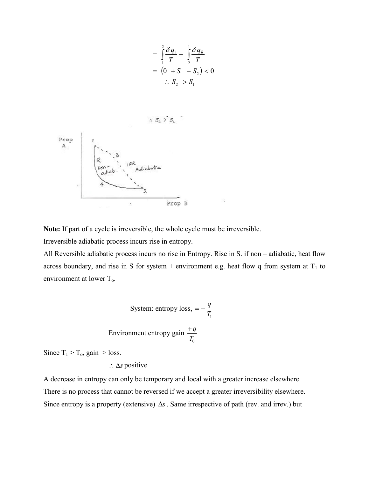$$
= \int_{1}^{2} \frac{\delta q_1}{T} + \int_{2}^{1} \frac{\delta q_R}{T}
$$
  
=  $(0 + S_1 - S_2) < 0$   
 $\therefore S_2 > S_1$ 



**Note:** If part of a cycle is irreversible, the whole cycle must be irreversible.

Irreversible adiabatic process incurs rise in entropy.

All Reversible adiabatic process incurs no rise in Entropy. Rise in S. if non – adiabatic, heat flow across boundary, and rise in S for system + environment e.g. heat flow q from system at  $T_1$  to environment at lower  $T<sub>o</sub>$ .

System: entropy loss, 
$$
= -\frac{q}{T_1}
$$
  
Environment entropy gain  $\frac{+q}{T_0}$ 

Since  $T_1 > T_0$ , gain  $>$  loss.

 $\therefore$   $\Delta s$  positive

A decrease in entropy can only be temporary and local with a greater increase elsewhere. There is no process that cannot be reversed if we accept a greater irreversibility elsewhere. Since entropy is a property (extensive)  $\Delta s$ . Same irrespective of path (rev. and irrev.) but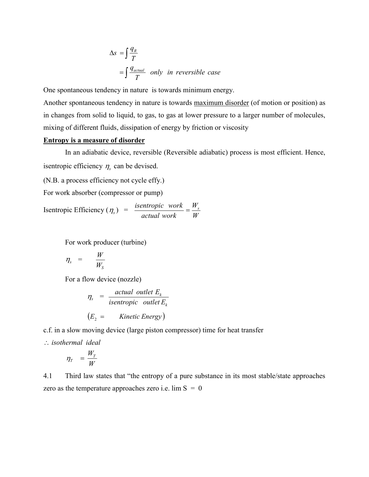$$
\Delta s = \int \frac{q_R}{T}
$$
  
=  $\int \frac{q_{actual}}{T}$  only in reversible case

One spontaneous tendency in nature is towards minimum energy.

Another spontaneous tendency in nature is towards maximum disorder (of motion or position) as in changes from solid to liquid, to gas, to gas at lower pressure to a larger number of molecules, mixing of different fluids, dissipation of energy by friction or viscosity

#### **Entropy is a measure of disorder**

In an adiabatic device, reversible (Reversible adiabatic) process is most efficient. Hence, is entropic efficiency  $\eta_s$  can be devised.

(N.B. a process efficiency not cycle effy.)

For work absorber (compressor or pump)

Isentropic Efficiency ( $\eta_s$ ) =  $\frac{isentropic \ work}{actual \ work} = \frac{W_s}{W_s}$ *actual work*  $\frac{isentropic \quad work}{\frac{1}{2}} = \frac{W_s}{W}$ 

For work producer (turbine)

$$
\eta_s = \frac{W}{W_s}
$$

For a flow device (nozzle)

$$
\eta_s = \frac{actual \ outlet E_k}{isentropic \ outlet E_k}
$$
  
( $E_2$  = Kinetic Energy)

c.f. in a slow moving device (large piston compressor) time for heat transfer

*isothermal ideal*

$$
\eta_{T} = \frac{W_{T}}{W}
$$

4.1 Third law states that "the entropy of a pure substance in its most stable/state approaches zero as the temperature approaches zero i.e.  $\lim S = 0$